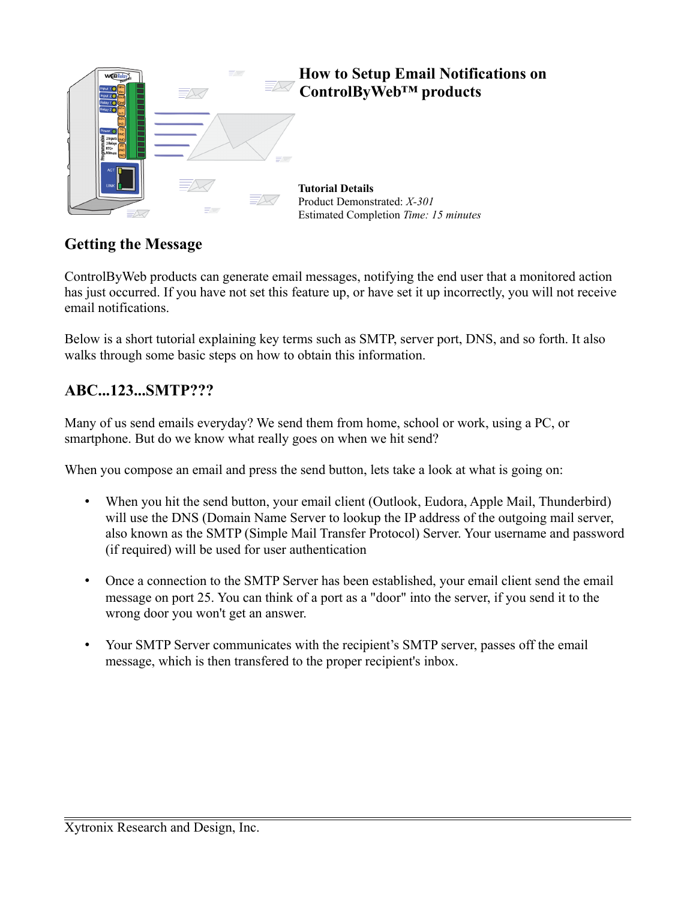

# **Getting the Message**

ControlByWeb products can generate email messages, notifying the end user that a monitored action has just occurred. If you have not set this feature up, or have set it up incorrectly, you will not receive email notifications.

Below is a short tutorial explaining key terms such as SMTP, server port, DNS, and so forth. It also walks through some basic steps on how to obtain this information.

## **ABC...123...SMTP???**

Many of us send emails everyday? We send them from home, school or work, using a PC, or smartphone. But do we know what really goes on when we hit send?

When you compose an email and press the send button, lets take a look at what is going on:

- When you hit the send button, your email client (Outlook, Eudora, Apple Mail, Thunderbird) will use the DNS (Domain Name Server to lookup the IP address of the outgoing mail server, also known as the SMTP (Simple Mail Transfer Protocol) Server. Your username and password (if required) will be used for user authentication
- Once a connection to the SMTP Server has been established, your email client send the email message on port 25. You can think of a port as a "door" into the server, if you send it to the wrong door you won't get an answer.
- Your SMTP Server communicates with the recipient's SMTP server, passes off the email message, which is then transfered to the proper recipient's inbox.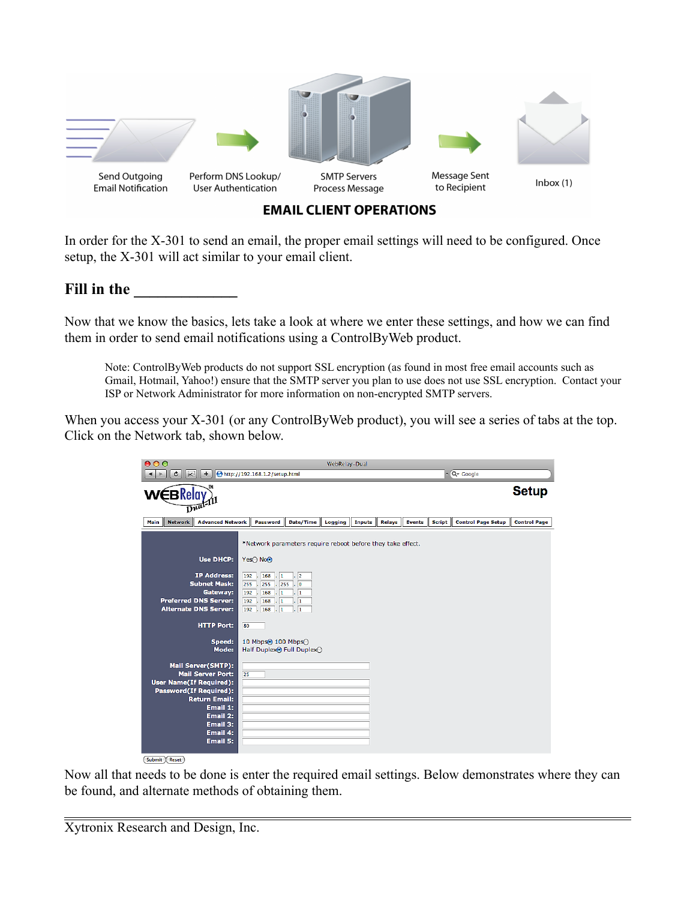

**EMAIL CLIENT OPERATIONS** 

In order for the X-301 to send an email, the proper email settings will need to be configured. Once setup, the X-301 will act similar to your email client.

## Fill in the

Now that we know the basics, lets take a look at where we enter these settings, and how we can find them in order to send email notifications using a ControlByWeb product.

Note: ControlByWeb products do not support SSL encryption (as found in most free email accounts such as Gmail, Hotmail, Yahoo!) ensure that the SMTP server you plan to use does not use SSL encryption. Contact your ISP or Network Administrator for more information on non-encrypted SMTP servers.

When you access your X-301 (or any ControlByWeb product), you will see a series of tabs at the top. Click on the Network tab, shown below.

| 000                                                                                                                                                                                                                   | WebRelay-Dual                                                                                                                                                                                                                                                        |               |        |                                |                           |                     |  |  |
|-----------------------------------------------------------------------------------------------------------------------------------------------------------------------------------------------------------------------|----------------------------------------------------------------------------------------------------------------------------------------------------------------------------------------------------------------------------------------------------------------------|---------------|--------|--------------------------------|---------------------------|---------------------|--|--|
| 实<br>¢<br>$+$<br>Þ                                                                                                                                                                                                    | http://192.168.1.2/setup.html                                                                                                                                                                                                                                        |               |        |                                | $\sim$ Q $\sim$ Google    |                     |  |  |
| <b>Setup</b><br><b>∕∈</b> BRelay<br>$\overline{D^{u^0}}$                                                                                                                                                              |                                                                                                                                                                                                                                                                      |               |        |                                |                           |                     |  |  |
| <b>Network</b><br><b>Advanced Network</b><br>Main                                                                                                                                                                     | Date/Time<br>Logging<br>Password                                                                                                                                                                                                                                     | <b>Inputs</b> | Relays | <b>Script</b><br><b>Events</b> | <b>Control Page Setup</b> | <b>Control Page</b> |  |  |
| <b>Use DHCP:</b><br><b>IP Address:</b><br><b>Subnet Mask:</b><br>Gateway:<br><b>Preferred DNS Server:</b><br><b>Alternate DNS Server:</b>                                                                             | *Network parameters require reboot before they take effect.<br>Yes○ No⊙<br>$192$ , $168$ , $1$<br>$\overline{2}$<br>.755<br>⊺о<br>255.<br>255<br>192.<br>168<br>I. T<br>$\mathbf{1}$<br>192.<br>168<br>$\overline{1}$<br>$\mathbf{1}$<br>192.168.1<br>$\overline{1}$ |               |        |                                |                           |                     |  |  |
| <b>HTTP Port:</b><br>Speed:<br>Mode:                                                                                                                                                                                  | 80<br>10 Mbps <sup>o</sup> 100 Mbps <sup>o</sup><br>Half Duplex <sup>®</sup> Full Duplex                                                                                                                                                                             |               |        |                                |                           |                     |  |  |
| Mail Server(SMTP):<br><b>Mail Server Port:</b><br><b>User Name(If Required):</b><br><b>Password(If Required):</b><br><b>Return Email:</b><br>Email 1:<br>Email 2:<br>Email 3:<br>Email 4:<br>Email 5:<br>Submit Reset | 25                                                                                                                                                                                                                                                                   |               |        |                                |                           |                     |  |  |

Now all that needs to be done is enter the required email settings. Below demonstrates where they can be found, and alternate methods of obtaining them.

Xytronix Research and Design, Inc.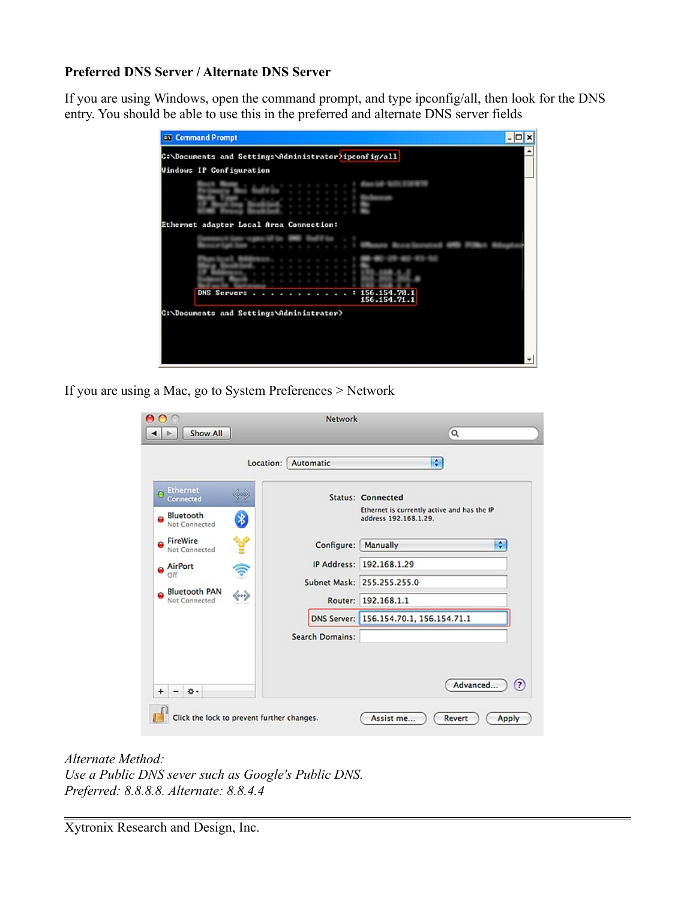#### **Preferred DNS Server / Alternate DNS Server**

If you are using Windows, open the command prompt, and type ipconfig/all, then look for the DNS entry. You should be able to use this in the preferred and alternate DNS server fields

| Ethernet adapter Local Area Connection: |  |  |  |  |  |                              |
|-----------------------------------------|--|--|--|--|--|------------------------------|
|                                         |  |  |  |  |  |                              |
|                                         |  |  |  |  |  |                              |
| <b>DNS Servers</b>                      |  |  |  |  |  | 156.154.78.1<br>156.154.71.1 |

If you are using a Mac, go to System Preferences > Network

| ∩<br>Show All                                                                                                                                                        | Network                                         | Q                                                                                                                                |
|----------------------------------------------------------------------------------------------------------------------------------------------------------------------|-------------------------------------------------|----------------------------------------------------------------------------------------------------------------------------------|
|                                                                                                                                                                      | Location: Automatic                             | ÷                                                                                                                                |
| <b>Ethernet</b><br>Connected<br>Bluetooth<br>∦<br>Not Connected                                                                                                      |                                                 | <b>Status: Connected</b><br>Ethernet is currently active and has the IP<br>address 192.168.1.29.                                 |
| FireWire<br>Not Connected<br>AirPort<br>₹<br>Off<br><b>Bluetooth PAN</b><br>$\left\langle \hspace{-0.2em} \leftarrow \hspace{-0.2em} \right\rangle$<br>Not Connected | Configure:<br>Router:<br><b>Search Domains:</b> | ÷<br>Manually<br>IP Address: 192.168.1.29<br>Subnet Mask: 255.255.255.0<br>192.168.1.1<br>DNS Server: 156.154.70.1, 156.154.71.1 |
| 恭 -<br>+                                                                                                                                                             |                                                 | $\circ$<br>Advanced                                                                                                              |

*Alternate Method: Use a Public DNS sever such as Google's Public DNS. Preferred: 8.8.8.8. Alternate: 8.8.4.4*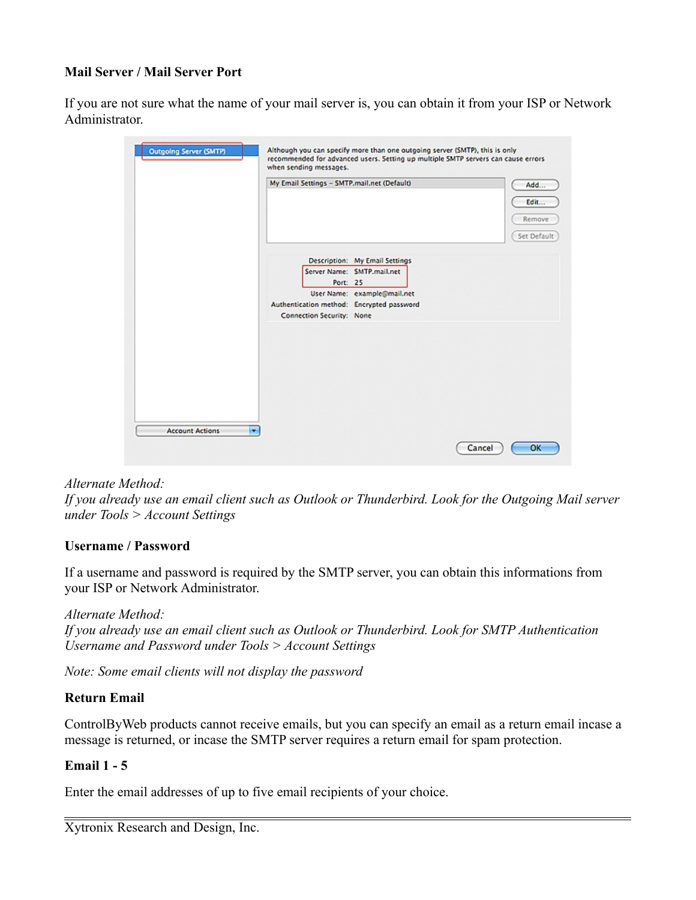## **Mail Server / Mail Server Port**

If you are not sure what the name of your mail server is, you can obtain it from your ISP or Network Administrator.

| My Email Settings - SMTP.mail.net (Default)                                                                                                                                       | Add<br>Edit           |
|-----------------------------------------------------------------------------------------------------------------------------------------------------------------------------------|-----------------------|
|                                                                                                                                                                                   | Remove<br>Set Default |
| Description: My Email Settings<br>Server Name: SMTP.mail.net<br>Port: 25<br>User Name: example@mail.net<br>Authentication method: Encrypted password<br>Connection Security: None |                       |
|                                                                                                                                                                                   |                       |
|                                                                                                                                                                                   |                       |

## *Alternate Method:*

*If you already use an email client such as Outlook or Thunderbird. Look for the Outgoing Mail server under Tools > Account Settings*

#### **Username / Password**

If a username and password is required by the SMTP server, you can obtain this informations from your ISP or Network Administrator.

*Alternate Method: If you already use an email client such as Outlook or Thunderbird. Look for SMTP Authentication Username and Password under Tools > Account Settings*

*Note: Some email clients will not display the password*

## **Return Email**

ControlByWeb products cannot receive emails, but you can specify an email as a return email incase a message is returned, or incase the SMTP server requires a return email for spam protection.

## **Email 1 - 5**

Enter the email addresses of up to five email recipients of your choice.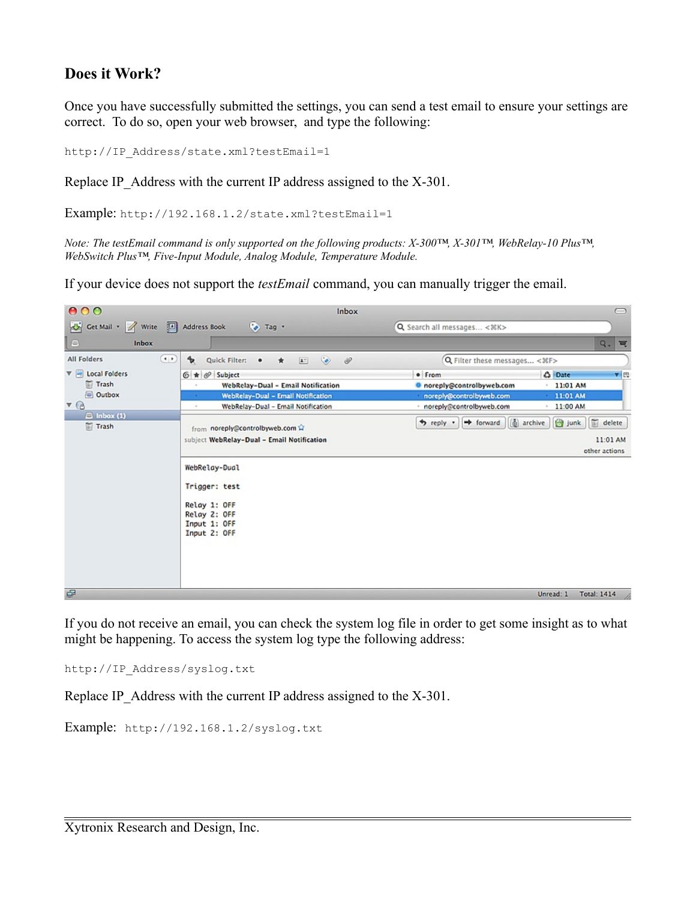## **Does it Work?**

Once you have successfully submitted the settings, you can send a test email to ensure your settings are correct. To do so, open your web browser, and type the following:

http://IP\_Address/state.xml?testEmail=1

Replace IP Address with the current IP address assigned to the X-301.

Example: http://192.168.1.2/state.xml?testEmail=1

*Note: The testEmail command is only supported on the following products: X-300™, X-301™, WebRelay-10 Plus™, WebSwitch Plus™, Five-Input Module, Analog Module, Temperature Module.* 

If your device does not support the *testEmail* command, you can manually trigger the email.

| 000                                             | Inbox                                                                                                       |                                                                                                                        | $\bigcirc$                                 |  |  |
|-------------------------------------------------|-------------------------------------------------------------------------------------------------------------|------------------------------------------------------------------------------------------------------------------------|--------------------------------------------|--|--|
| Cet Mail + A Write <sup>[4</sup> ] Address Book | Tag *                                                                                                       | Q Search all messages < %K>                                                                                            |                                            |  |  |
| $\qquad \qquad \Box$<br>Inbox                   |                                                                                                             |                                                                                                                        | $Q_{\star}$<br>$\equiv$                    |  |  |
| All Folders<br>$\cdot$                          | $\bullet$<br>ზ<br>$\mathscr{P}$<br>Quick Filter:<br>$\boxed{\underline{\mathbf{A}}^{\pm} }$<br>٠<br>$\star$ | Q Filter these messages < %F>                                                                                          |                                            |  |  |
| $\nabla =$ Local Folders                        | $6 \star 6$ Subject                                                                                         | · From                                                                                                                 | $\mathbf{v}$ $\mathbb{R}$<br><b>C</b> Date |  |  |
| Trash                                           | WebRelay-Dual - Email Notification<br>$\alpha$                                                              | <b>C</b> noreply@controlbyweb.com                                                                                      | 11:01 AM                                   |  |  |
| Outbox                                          | WebRelay-Dual - Email Notification                                                                          | noreply@controlbyweb.com                                                                                               | 11:01 AM                                   |  |  |
| $\triangledown$                                 | WebRelay-Dual - Email Notification                                                                          | noreply@controlbyweb.com                                                                                               | 11:00 AM                                   |  |  |
| $\Box$ Inbox (1)<br>Trash                       | from noreply@controlbyweb.com<br>subject WebRelay-Dual - Email Notification                                 | 面<br>$\boxed{6}$ archive<br><b>B</b> junk<br>* reply *<br>$\rightarrow$ forward<br>delete<br>11:01 AM<br>other actions |                                            |  |  |
|                                                 | WebRelay-Dual<br>Trigger: test<br>Relay 1: OFF<br>Relay 2: OFF<br>Input 1: OFF<br>Input 2: OFF              |                                                                                                                        |                                            |  |  |
| e                                               |                                                                                                             |                                                                                                                        | Unread: 1<br><b>Total: 1414</b>            |  |  |

If you do not receive an email, you can check the system log file in order to get some insight as to what might be happening. To access the system log type the following address:

http://IP\_Address/syslog.txt

Replace IP Address with the current IP address assigned to the X-301.

Example: http://192.168.1.2/syslog.txt